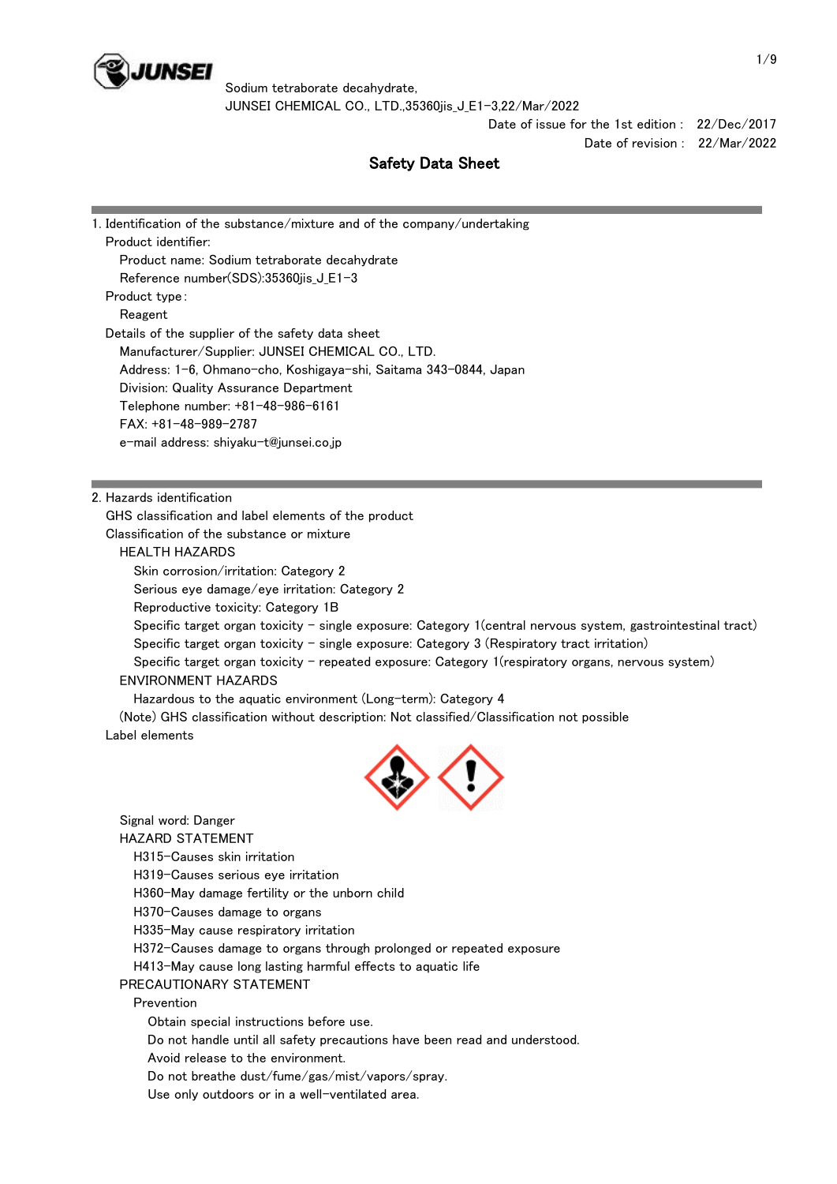

Sodium tetraborate decahydrate, JUNSEI CHEMICAL CO., LTD.,35360jis\_J\_E1-3,22/Mar/2022

> Date of issue for the 1st edition : 22/Dec/2017 Date of revision : 22/Mar/2022

# Safety Data Sheet

| 1. Identification of the substance/mixture and of the company/undertaking |  |
|---------------------------------------------------------------------------|--|
| Product identifier:                                                       |  |
| Product name: Sodium tetraborate decahydrate                              |  |
| Reference number(SDS):35360jis_J_E1-3                                     |  |
| Product type:                                                             |  |
| Reagent                                                                   |  |
| Details of the supplier of the safety data sheet                          |  |
| Manufacturer/Supplier: JUNSEI CHEMICAL CO., LTD.                          |  |
| Address: 1-6, Ohmano-cho, Koshigaya-shi, Saitama 343-0844, Japan          |  |
| Division: Quality Assurance Department                                    |  |
| Telephone number: +81-48-986-6161                                         |  |
| $FAX: +81-48-989-2787$                                                    |  |
| e-mail address: shiyaku-t@junsei.co.jp                                    |  |
|                                                                           |  |
|                                                                           |  |
| 2. Hazards identification                                                 |  |
| GHS classification and label elements of the product                      |  |
| Classification of the substance or mixture                                |  |

#### HEALTH HAZARDS

Skin corrosion/irritation: Category 2

Serious eye damage/eye irritation: Category 2

Reproductive toxicity: Category 1B

 Specific target organ toxicity - single exposure: Category 1(central nervous system, gastrointestinal tract) Specific target organ toxicity - single exposure: Category 3 (Respiratory tract irritation)

 Specific target organ toxicity - repeated exposure: Category 1(respiratory organs, nervous system) ENVIRONMENT HAZARDS

Hazardous to the aquatic environment (Long-term): Category 4

 (Note) GHS classification without description: Not classified/Classification not possible Label elements



 Signal word: Danger HAZARD STATEMENT H315-Causes skin irritation H319-Causes serious eye irritation H360-May damage fertility or the unborn child H370-Causes damage to organs H335-May cause respiratory irritation H372-Causes damage to organs through prolonged or repeated exposure H413-May cause long lasting harmful effects to aquatic life PRECAUTIONARY STATEMENT Prevention Obtain special instructions before use. Do not handle until all safety precautions have been read and understood. Avoid release to the environment. Do not breathe dust/fume/gas/mist/vapors/spray. Use only outdoors or in a well-ventilated area.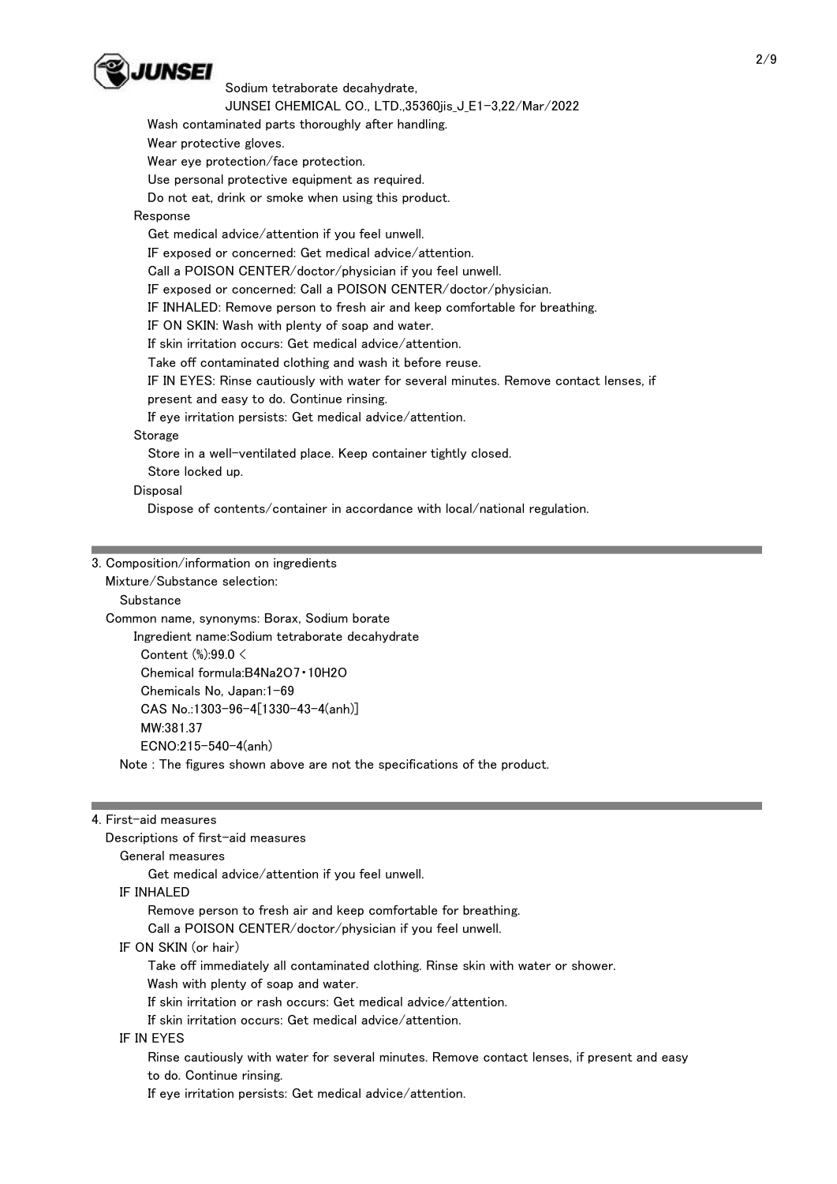

JUNSEI CHEMICAL CO., LTD.,35360jis\_J\_E1-3,22/Mar/2022

Wash contaminated parts thoroughly after handling.

Wear protective gloves.

Wear eye protection/face protection.

Use personal protective equipment as required.

Do not eat, drink or smoke when using this product.

## Response

Get medical advice/attention if you feel unwell.

IF exposed or concerned: Get medical advice/attention.

Call a POISON CENTER/doctor/physician if you feel unwell.

IF exposed or concerned: Call a POISON CENTER/doctor/physician.

IF INHALED: Remove person to fresh air and keep comfortable for breathing.

IF ON SKIN: Wash with plenty of soap and water.

If skin irritation occurs: Get medical advice/attention.

Take off contaminated clothing and wash it before reuse.

IF IN EYES: Rinse cautiously with water for several minutes. Remove contact lenses, if

present and easy to do. Continue rinsing.

If eye irritation persists: Get medical advice/attention.

Storage

Store in a well-ventilated place. Keep container tightly closed.

Store locked up.

Disposal

Dispose of contents/container in accordance with local/national regulation.

#### 3. Composition/information on ingredients

Mixture/Substance selection:

**Substance** 

 Common name, synonyms: Borax, Sodium borate Ingredient name:Sodium tetraborate decahydrate Content (%):99.0 < Chemical formula:B4Na2O7・10H2O Chemicals No, Japan:1-69 CAS No.:1303-96-4[1330-43-4(anh)]

MW:381.37

ECNO:215-540-4(anh)

Note : The figures shown above are not the specifications of the product.

#### 4. First-aid measures

Descriptions of first-aid measures

#### General measures

Get medical advice/attention if you feel unwell.

IF INHALED

Remove person to fresh air and keep comfortable for breathing.

Call a POISON CENTER/doctor/physician if you feel unwell.

IF ON SKIN (or hair)

Take off immediately all contaminated clothing. Rinse skin with water or shower.

Wash with plenty of soap and water.

If skin irritation or rash occurs: Get medical advice/attention.

If skin irritation occurs: Get medical advice/attention.

#### IF IN EYES

 Rinse cautiously with water for several minutes. Remove contact lenses, if present and easy to do. Continue rinsing.

If eye irritation persists: Get medical advice/attention.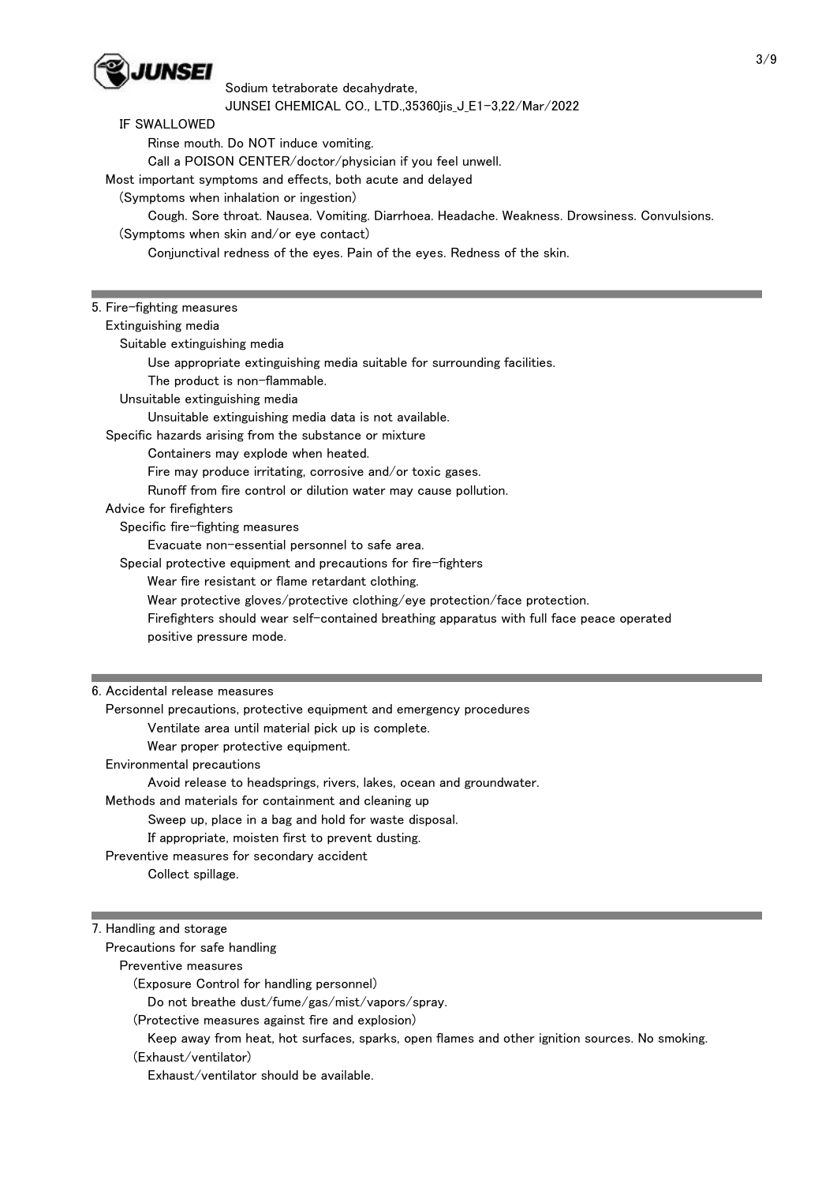

Sodium tetraborate decahydrate, JUNSEI CHEMICAL CO., LTD.,35360jis\_J\_E1-3,22/Mar/2022

#### IF SWALLOWED

 Rinse mouth. Do NOT induce vomiting. Call a POISON CENTER/doctor/physician if you feel unwell. Most important symptoms and effects, both acute and delayed (Symptoms when inhalation or ingestion) Cough. Sore throat. Nausea. Vomiting. Diarrhoea. Headache. Weakness. Drowsiness. Convulsions. (Symptoms when skin and/or eye contact) Conjunctival redness of the eyes. Pain of the eyes. Redness of the skin.

# 5. Fire-fighting measures Extinguishing media Suitable extinguishing media Use appropriate extinguishing media suitable for surrounding facilities. The product is non-flammable.

Unsuitable extinguishing media

Unsuitable extinguishing media data is not available.

Specific hazards arising from the substance or mixture

Containers may explode when heated.

Fire may produce irritating, corrosive and/or toxic gases.

Runoff from fire control or dilution water may cause pollution.

#### Advice for firefighters

Specific fire-fighting measures

Evacuate non-essential personnel to safe area.

Special protective equipment and precautions for fire-fighters

Wear fire resistant or flame retardant clothing.

Wear protective gloves/protective clothing/eye protection/face protection.

 Firefighters should wear self-contained breathing apparatus with full face peace operated positive pressure mode.

#### 6. Accidental release measures

 Personnel precautions, protective equipment and emergency procedures Ventilate area until material pick up is complete. Wear proper protective equipment. Environmental precautions Avoid release to headsprings, rivers, lakes, ocean and groundwater. Methods and materials for containment and cleaning up Sweep up, place in a bag and hold for waste disposal. If appropriate, moisten first to prevent dusting. Preventive measures for secondary accident Collect spillage.

#### 7. Handling and storage

Precautions for safe handling

Preventive measures

(Exposure Control for handling personnel)

Do not breathe dust/fume/gas/mist/vapors/spray.

(Protective measures against fire and explosion)

Keep away from heat, hot surfaces, sparks, open flames and other ignition sources. No smoking.

(Exhaust/ventilator)

Exhaust/ventilator should be available.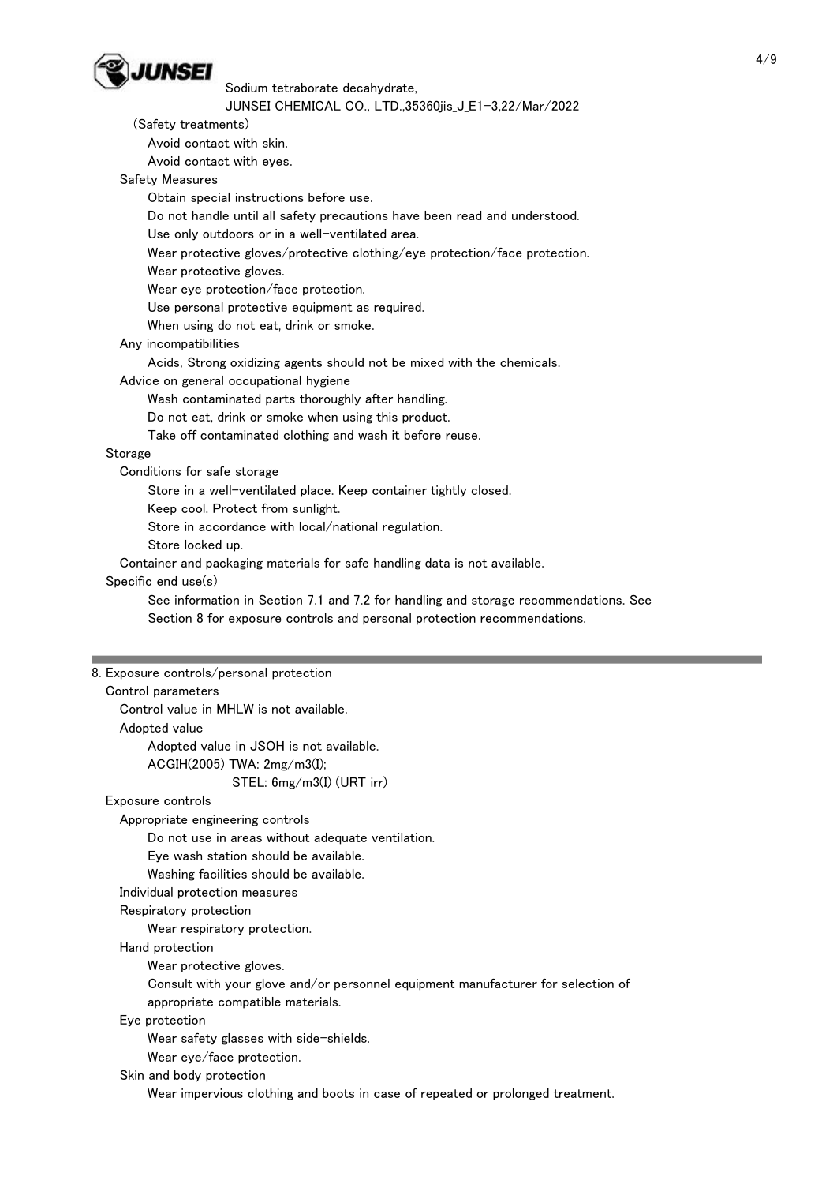

| JUNSEI CHEMICAL CO., LTD.,35360jis_J_E1-3,22/Mar/2022                                                      |  |
|------------------------------------------------------------------------------------------------------------|--|
| (Safety treatments)                                                                                        |  |
| Avoid contact with skin.                                                                                   |  |
| Avoid contact with eyes.                                                                                   |  |
| Safety Measures                                                                                            |  |
| Obtain special instructions before use.                                                                    |  |
| Do not handle until all safety precautions have been read and understood.                                  |  |
| Use only outdoors or in a well-ventilated area.                                                            |  |
| Wear protective gloves/protective clothing/eye protection/face protection.                                 |  |
| Wear protective gloves.                                                                                    |  |
| Wear eye protection/face protection.                                                                       |  |
| Use personal protective equipment as required.                                                             |  |
|                                                                                                            |  |
| When using do not eat, drink or smoke.                                                                     |  |
| Any incompatibilities                                                                                      |  |
| Acids, Strong oxidizing agents should not be mixed with the chemicals.                                     |  |
| Advice on general occupational hygiene                                                                     |  |
| Wash contaminated parts thoroughly after handling.                                                         |  |
| Do not eat, drink or smoke when using this product.                                                        |  |
| Take off contaminated clothing and wash it before reuse.                                                   |  |
| Storage                                                                                                    |  |
| Conditions for safe storage                                                                                |  |
| Store in a well-ventilated place. Keep container tightly closed.                                           |  |
| Keep cool. Protect from sunlight.                                                                          |  |
| Store in accordance with local/national regulation.                                                        |  |
| Store locked up.                                                                                           |  |
| Container and packaging materials for safe handling data is not available.                                 |  |
| Specific end use(s)                                                                                        |  |
| See information in Section 7.1 and 7.2 for handling and storage recommendations. See                       |  |
|                                                                                                            |  |
| Section 8 for exposure controls and personal protection recommendations.                                   |  |
|                                                                                                            |  |
|                                                                                                            |  |
| 8. Exposure controls/personal protection                                                                   |  |
| Control parameters                                                                                         |  |
| Control value in MHLW is not available.                                                                    |  |
| Adopted value                                                                                              |  |
| Adopted value in JSOH is not available.                                                                    |  |
| ACGIH(2005) TWA: 2mg/m3(I);                                                                                |  |
| STEL: $6mg/m3(I)$ (URT irr)                                                                                |  |
| Exposure controls                                                                                          |  |
| Appropriate engineering controls                                                                           |  |
| Do not use in areas without adequate ventilation.                                                          |  |
| Eye wash station should be available.                                                                      |  |
|                                                                                                            |  |
| Washing facilities should be available.                                                                    |  |
| Individual protection measures                                                                             |  |
| Respiratory protection                                                                                     |  |
| Wear respiratory protection.                                                                               |  |
| Hand protection                                                                                            |  |
| Wear protective gloves.                                                                                    |  |
| Consult with your glove and/or personnel equipment manufacturer for selection of                           |  |
| appropriate compatible materials.                                                                          |  |
| Eye protection                                                                                             |  |
| Wear safety glasses with side-shields.                                                                     |  |
| Wear eye/face protection.                                                                                  |  |
| Skin and body protection<br>Wear impervious clothing and boots in case of repeated or prolonged treatment. |  |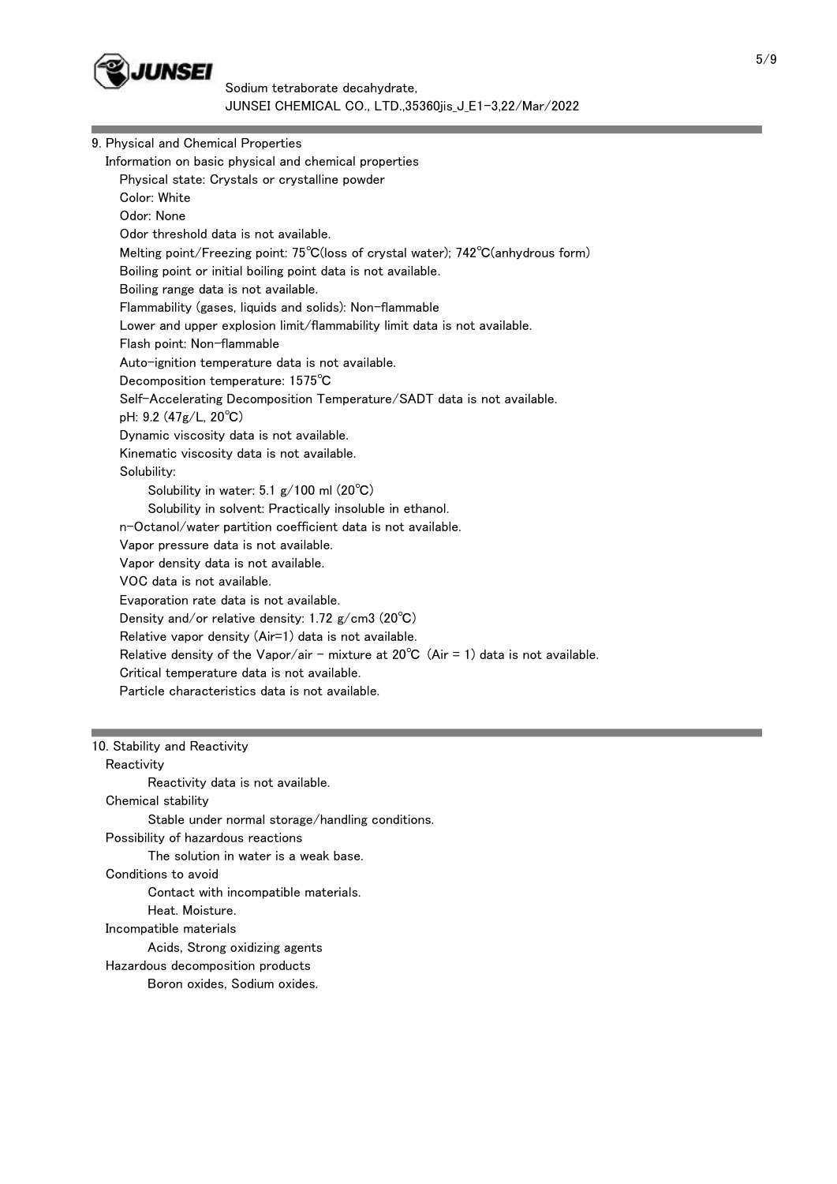

Sodium tetraborate decahydrate, JUNSEI CHEMICAL CO., LTD.,35360jis\_J\_E1-3,22/Mar/2022

| 9. Physical and Chemical Properties                                                            |  |
|------------------------------------------------------------------------------------------------|--|
| Information on basic physical and chemical properties                                          |  |
| Physical state: Crystals or crystalline powder                                                 |  |
| Color: White                                                                                   |  |
| Odor: None                                                                                     |  |
| Odor threshold data is not available.                                                          |  |
| Melting point/Freezing point: 75°C(loss of crystal water); 742°C(anhydrous form)               |  |
| Boiling point or initial boiling point data is not available.                                  |  |
| Boiling range data is not available.                                                           |  |
| Flammability (gases, liquids and solids): Non-flammable                                        |  |
| Lower and upper explosion limit/flammability limit data is not available.                      |  |
| Flash point: Non-flammable                                                                     |  |
| Auto-ignition temperature data is not available.                                               |  |
| Decomposition temperature: 1575°C                                                              |  |
| Self-Accelerating Decomposition Temperature/SADT data is not available.                        |  |
| pH: 9.2 (47g/L, 20°C)                                                                          |  |
| Dynamic viscosity data is not available.                                                       |  |
| Kinematic viscosity data is not available.                                                     |  |
| Solubility:                                                                                    |  |
| Solubility in water: 5.1 $g/100$ ml (20 $^{\circ}$ C)                                          |  |
| Solubility in solvent: Practically insoluble in ethanol.                                       |  |
| n-Octanol/water partition coefficient data is not available.                                   |  |
| Vapor pressure data is not available.                                                          |  |
| Vapor density data is not available.                                                           |  |
| VOC data is not available.                                                                     |  |
| Evaporation rate data is not available.                                                        |  |
| Density and/or relative density: 1.72 $g/cm3$ (20 $^{\circ}$ C)                                |  |
| Relative vapor density (Air=1) data is not available.                                          |  |
| Relative density of the Vapor/air - mixture at $20^{\circ}$ C (Air = 1) data is not available. |  |
| Critical temperature data is not available.                                                    |  |
| Particle characteristics data is not available.                                                |  |
|                                                                                                |  |
|                                                                                                |  |

10. Stability and Reactivity

**Reactivity**  Reactivity data is not available. Chemical stability Stable under normal storage/handling conditions. Possibility of hazardous reactions The solution in water is a weak base. Conditions to avoid Contact with incompatible materials. Heat. Moisture. Incompatible materials Acids, Strong oxidizing agents Hazardous decomposition products Boron oxides, Sodium oxides.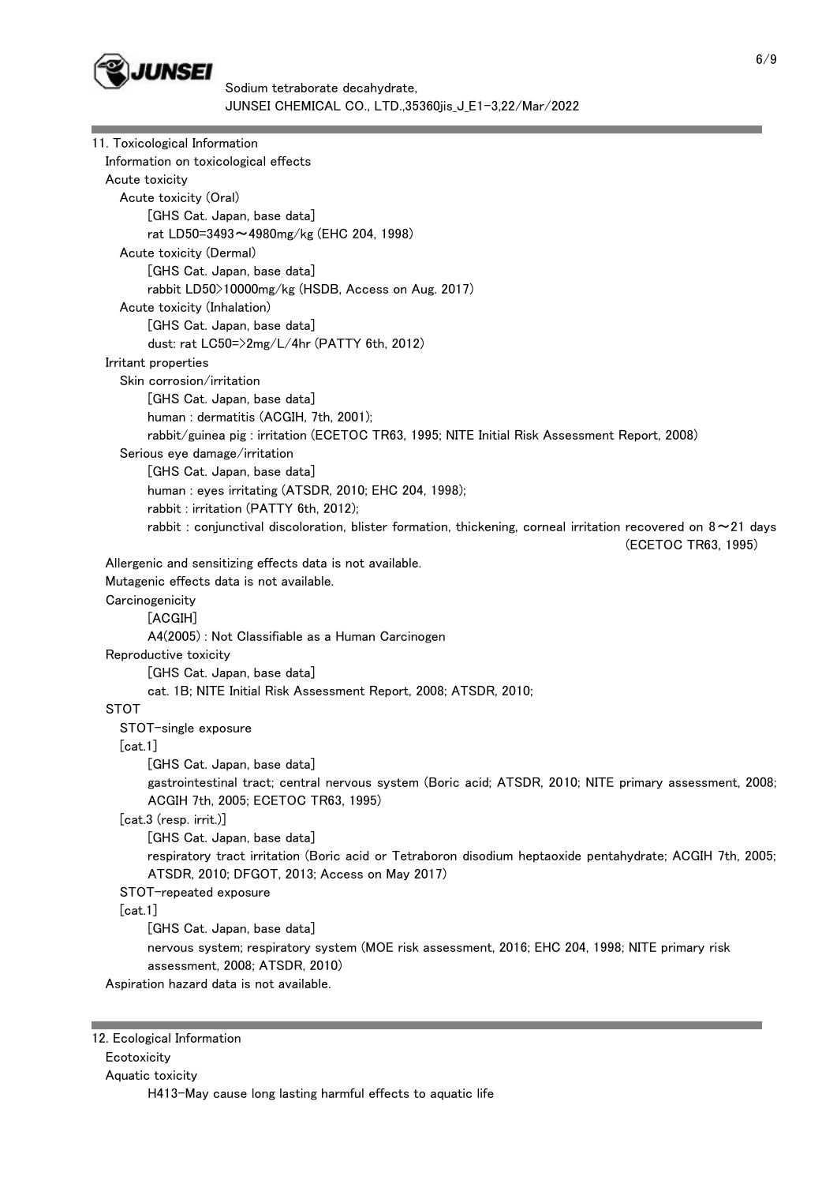

| 11. Toxicological Information                                                                                        |
|----------------------------------------------------------------------------------------------------------------------|
| Information on toxicological effects                                                                                 |
| Acute toxicity                                                                                                       |
| Acute toxicity (Oral)                                                                                                |
| [GHS Cat. Japan, base data]                                                                                          |
| rat LD50=3493~4980mg/kg (EHC 204, 1998)                                                                              |
| Acute toxicity (Dermal)                                                                                              |
| [GHS Cat. Japan, base data]                                                                                          |
| rabbit LD50>10000mg/kg (HSDB, Access on Aug. 2017)                                                                   |
| Acute toxicity (Inhalation)                                                                                          |
| [GHS Cat. Japan, base data]                                                                                          |
| dust: rat LC50=>2mg/L/4hr (PATTY 6th, 2012)                                                                          |
| Irritant properties                                                                                                  |
| Skin corrosion/irritation                                                                                            |
| [GHS Cat. Japan, base data]                                                                                          |
| human: dermatitis (ACGIH, 7th, 2001);                                                                                |
| rabbit/guinea pig: irritation (ECETOC TR63, 1995; NITE Initial Risk Assessment Report, 2008)                         |
| Serious eye damage/irritation                                                                                        |
| [GHS Cat. Japan, base data]                                                                                          |
| human: eyes irritating (ATSDR, 2010; EHC 204, 1998);                                                                 |
| rabbit: irritation (PATTY 6th, 2012);                                                                                |
| rabbit : conjunctival discoloration, blister formation, thickening, corneal irritation recovered on $8 \sim 21$ days |
| (ECETOC TR63, 1995)                                                                                                  |
| Allergenic and sensitizing effects data is not available.                                                            |
| Mutagenic effects data is not available.                                                                             |
| Carcinogenicity                                                                                                      |
| [AGGIH]                                                                                                              |
| A4(2005): Not Classifiable as a Human Carcinogen                                                                     |
| Reproductive toxicity                                                                                                |
| [GHS Cat. Japan, base data]<br>cat. 1B; NITE Initial Risk Assessment Report, 2008; ATSDR, 2010;                      |
| <b>STOT</b>                                                                                                          |
| STOT-single exposure                                                                                                 |
| [cat.1]                                                                                                              |
| [GHS Cat. Japan, base data]                                                                                          |
| gastrointestinal tract; central nervous system (Boric acid; ATSDR, 2010; NITE primary assessment, 2008;              |
| ACGIH 7th, 2005; ECETOC TR63, 1995)                                                                                  |
| [cat.3 (resp. irrit.)]                                                                                               |
| [GHS Cat. Japan, base data]                                                                                          |
| respiratory tract irritation (Boric acid or Tetraboron disodium heptaoxide pentahydrate; ACGIH 7th, 2005;            |
| ATSDR, 2010; DFGOT, 2013; Access on May 2017)                                                                        |
| STOT-repeated exposure                                                                                               |
| [cat.1]                                                                                                              |
| [GHS Cat. Japan, base data]                                                                                          |
| nervous system; respiratory system (MOE risk assessment, 2016; EHC 204, 1998; NITE primary risk                      |
| assessment, 2008; ATSDR, 2010)                                                                                       |
| Aspiration hazard data is not available.                                                                             |
|                                                                                                                      |

## Ecotoxicity

Aquatic toxicity

H413-May cause long lasting harmful effects to aquatic life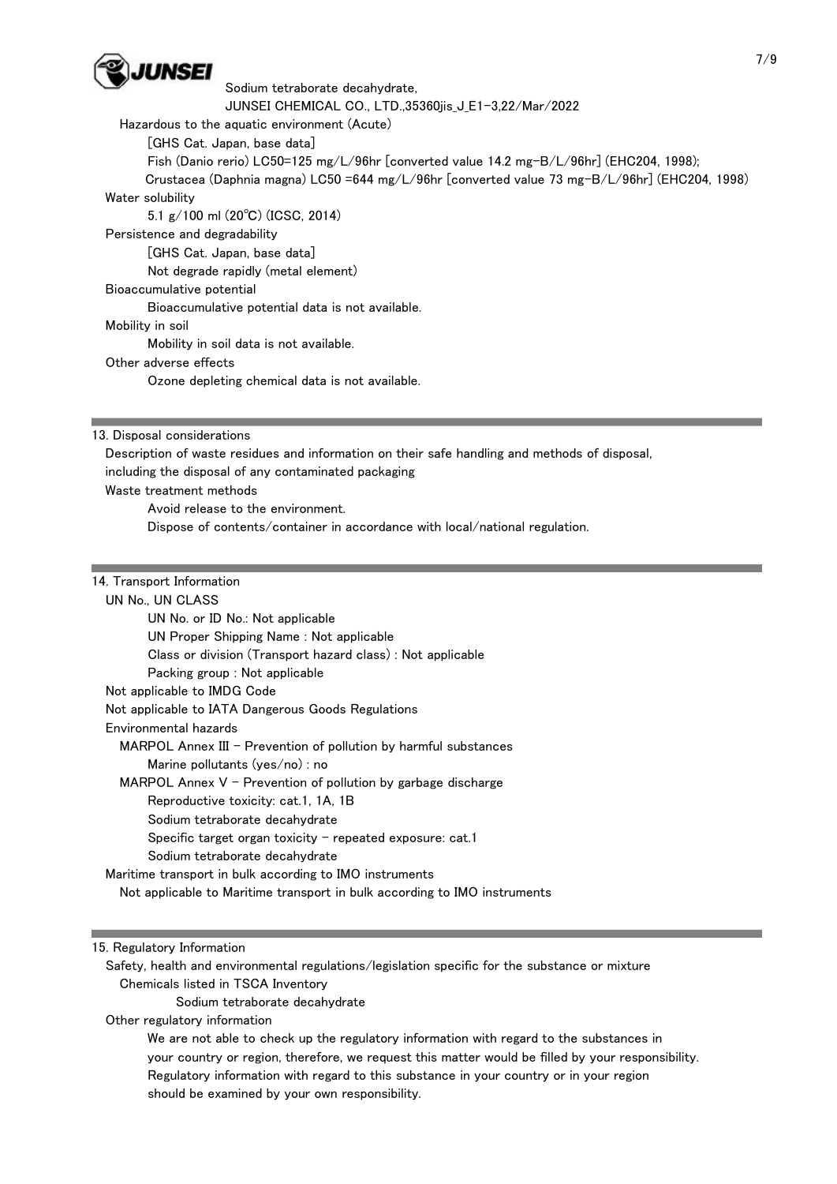

JUNSEI CHEMICAL CO., LTD.,35360jis\_J\_E1-3,22/Mar/2022

Hazardous to the aquatic environment (Acute)

[GHS Cat. Japan, base data]

Fish (Danio rerio) LC50=125 mg/L/96hr [converted value 14.2 mg-B/L/96hr] (EHC204, 1998);

 Crustacea (Daphnia magna) LC50 =644 mg/L/96hr [converted value 73 mg-B/L/96hr] (EHC204, 1998) Water solubility

5.1 g/100 ml (20℃) (ICSC, 2014)

Persistence and degradability

[GHS Cat. Japan, base data]

Not degrade rapidly (metal element)

#### Bioaccumulative potential

Bioaccumulative potential data is not available.

Mobility in soil

Mobility in soil data is not available.

#### Other adverse effects

Ozone depleting chemical data is not available.

13. Disposal considerations

 Description of waste residues and information on their safe handling and methods of disposal, including the disposal of any contaminated packaging

Waste treatment methods

Avoid release to the environment.

Dispose of contents/container in accordance with local/national regulation.

# 14. Transport Information

UN No., UN CLASS

| UN No. or ID No.: Not applicable                                          |
|---------------------------------------------------------------------------|
| UN Proper Shipping Name: Not applicable                                   |
| Class or division (Transport hazard class) : Not applicable               |
| Packing group : Not applicable                                            |
| Not applicable to IMDG Code                                               |
| Not applicable to IATA Dangerous Goods Regulations                        |
| Environmental hazards                                                     |
| $MAPOL$ Annex III – Prevention of pollution by harmful substances         |
| Marine pollutants ( $ves/no$ ) : no                                       |
| MARPOL Annex $V$ – Prevention of pollution by garbage discharge           |
| Reproductive toxicity: cat.1, 1A, 1B                                      |
| Sodium tetraborate decahydrate                                            |
| Specific target organ toxicity $-$ repeated exposure: cat.1               |
| Sodium tetraborate decahydrate                                            |
| Maritime transport in bulk according to IMO instruments                   |
| Not applicable to Maritime transport in bulk according to IMO instruments |
|                                                                           |

#### 15. Regulatory Information

 Safety, health and environmental regulations/legislation specific for the substance or mixture Chemicals listed in TSCA Inventory

Sodium tetraborate decahydrate

Other regulatory information

 We are not able to check up the regulatory information with regard to the substances in your country or region, therefore, we request this matter would be filled by your responsibility. Regulatory information with regard to this substance in your country or in your region should be examined by your own responsibility.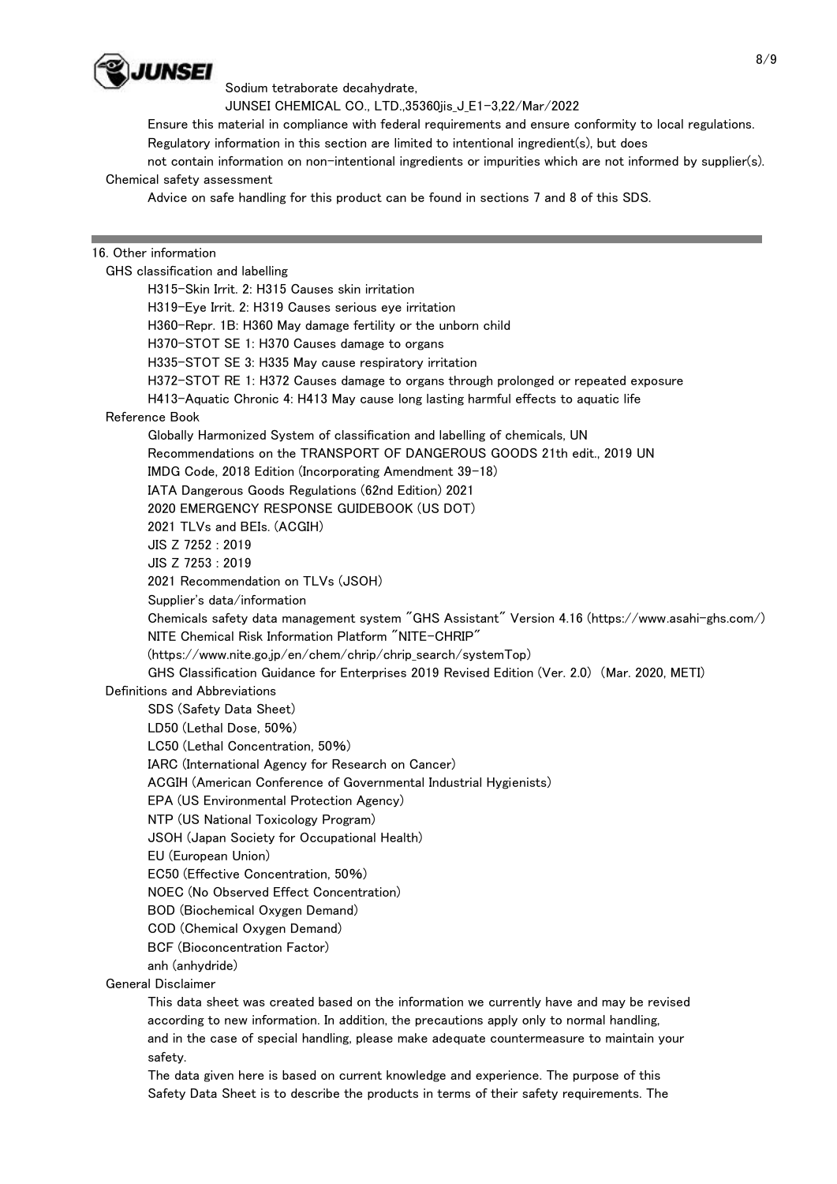

JUNSEI CHEMICAL CO., LTD.,35360jis\_J\_E1-3,22/Mar/2022

 Ensure this material in compliance with federal requirements and ensure conformity to local regulations. Regulatory information in this section are limited to intentional ingredient(s), but does

not contain information on non-intentional ingredients or impurities which are not informed by supplier(s).

## Chemical safety assessment

Advice on safe handling for this product can be found in sections 7 and 8 of this SDS.

# 16. Other information

 GHS classification and labelling H315-Skin Irrit. 2: H315 Causes skin irritation H319-Eye Irrit. 2: H319 Causes serious eye irritation H360-Repr. 1B: H360 May damage fertility or the unborn child H370-STOT SE 1: H370 Causes damage to organs H335-STOT SE 3: H335 May cause respiratory irritation H372-STOT RE 1: H372 Causes damage to organs through prolonged or repeated exposure H413-Aquatic Chronic 4: H413 May cause long lasting harmful effects to aquatic life Reference Book Globally Harmonized System of classification and labelling of chemicals, UN Recommendations on the TRANSPORT OF DANGEROUS GOODS 21th edit., 2019 UN IMDG Code, 2018 Edition (Incorporating Amendment 39-18) IATA Dangerous Goods Regulations (62nd Edition) 2021 2020 EMERGENCY RESPONSE GUIDEBOOK (US DOT) 2021 TLVs and BEIs. (ACGIH) JIS Z 7252 : 2019 JIS Z 7253 : 2019 2021 Recommendation on TLVs (JSOH) Supplier's data/information Chemicals safety data management system "GHS Assistant" Version 4.16 (https://www.asahi-ghs.com/) NITE Chemical Risk Information Platform "NITE-CHRIP" (https://www.nite.go.jp/en/chem/chrip/chrip\_search/systemTop) GHS Classification Guidance for Enterprises 2019 Revised Edition (Ver. 2.0) (Mar. 2020, METI) Definitions and Abbreviations SDS (Safety Data Sheet) LD50 (Lethal Dose, 50%) LC50 (Lethal Concentration, 50%) IARC (International Agency for Research on Cancer) ACGIH (American Conference of Governmental Industrial Hygienists) EPA (US Environmental Protection Agency) NTP (US National Toxicology Program) JSOH (Japan Society for Occupational Health) EU (European Union) EC50 (Effective Concentration, 50%) NOEC (No Observed Effect Concentration) BOD (Biochemical Oxygen Demand) COD (Chemical Oxygen Demand) BCF (Bioconcentration Factor) anh (anhydride) General Disclaimer

 This data sheet was created based on the information we currently have and may be revised according to new information. In addition, the precautions apply only to normal handling, and in the case of special handling, please make adequate countermeasure to maintain your safety.

 The data given here is based on current knowledge and experience. The purpose of this Safety Data Sheet is to describe the products in terms of their safety requirements. The